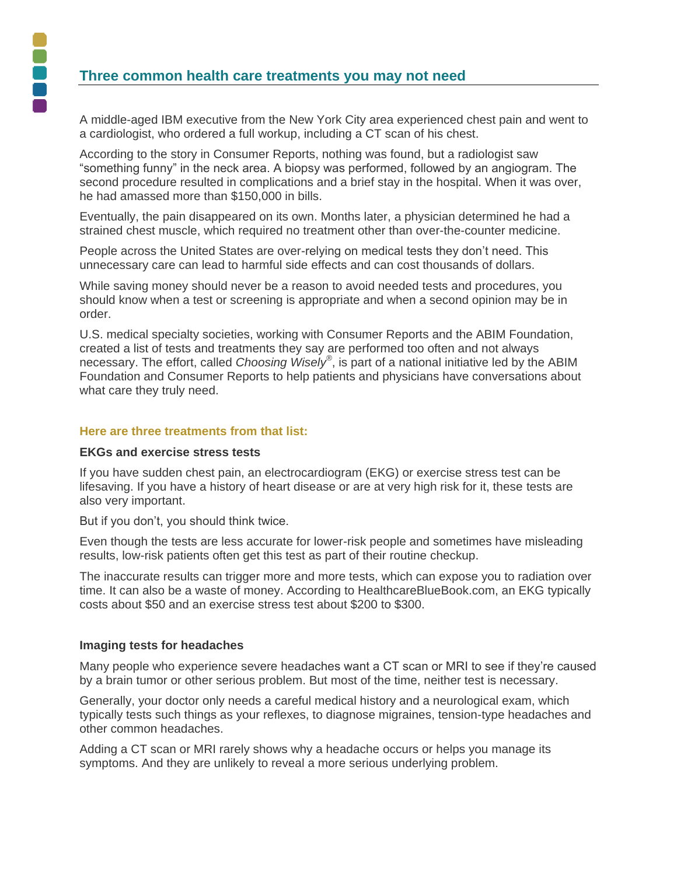# **Three common health care treatments you may not need**

A middle-aged IBM executive from the New York City area experienced chest pain and went to a cardiologist, who ordered a full workup, including a CT scan of his chest.

According to the story in Consumer Reports, nothing was found, but a radiologist saw "something funny" in the neck area. A biopsy was performed, followed by an angiogram. The second procedure resulted in complications and a brief stay in the hospital. When it was over, he had amassed more than \$150,000 in bills.

Eventually, the pain disappeared on its own. Months later, a physician determined he had a strained chest muscle, which required no treatment other than over-the-counter medicine.

People across the United States are over-relying on medical tests they don't need. This unnecessary care can lead to harmful side effects and can cost thousands of dollars.

While saving money should never be a reason to avoid needed tests and procedures, you should know when a test or screening is appropriate and when a second opinion may be in order.

U.S. medical specialty societies, working with Consumer Reports and the ABIM Foundation, created a list of tests and treatments they say are performed too often and not always necessary. The effort, called *Choosing Wisely®* , is part of a national initiative led by the ABIM Foundation and Consumer Reports to help patients and physicians have conversations about what care they truly need.

### **Here are three treatments from that list:**

#### **EKGs and exercise stress tests**

If you have sudden chest pain, an electrocardiogram (EKG) or exercise stress test can be lifesaving. If you have a history of heart disease or are at very high risk for it, these tests are also very important.

But if you don't, you should think twice.

Even though the tests are less accurate for lower-risk people and sometimes have misleading results, low-risk patients often get this test as part of their routine checkup.

The inaccurate results can trigger more and more tests, which can expose you to radiation over time. It can also be a waste of money. According to HealthcareBlueBook.com, an EKG typically costs about \$50 and an exercise stress test about \$200 to \$300.

#### **Imaging tests for headaches**

Many people who experience severe headaches want a CT scan or MRI to see if they're caused by a brain tumor or other serious problem. But most of the time, neither test is necessary.

Generally, your doctor only needs a careful medical history and a neurological exam, which typically tests such things as your reflexes, to diagnose migraines, tension-type headaches and other common headaches.

Adding a CT scan or MRI rarely shows why a headache occurs or helps you manage its symptoms. And they are unlikely to reveal a more serious underlying problem.